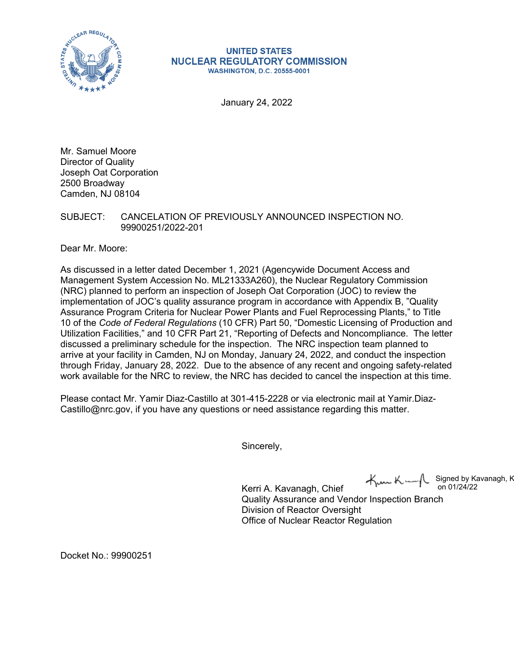

#### **UNITED STATES NUCLEAR REGULATORY COMMISSION WASHINGTON, D.C. 20555-0001**

January 24, 2022

Mr. Samuel Moore Director of Quality Joseph Oat Corporation 2500 Broadway Camden, NJ 08104

# SUBJECT: CANCELATION OF PREVIOUSLY ANNOUNCED INSPECTION NO. 99900251/2022-201

Dear Mr. Moore:

As discussed in a letter dated December 1, 2021 (Agencywide Document Access and Management System Accession No. ML21333A260), the Nuclear Regulatory Commission (NRC) planned to perform an inspection of Joseph Oat Corporation (JOC) to review the implementation of JOC's quality assurance program in accordance with Appendix B, "Quality Assurance Program Criteria for Nuclear Power Plants and Fuel Reprocessing Plants," to Title 10 of the *Code of Federal Regulations* (10 CFR) Part 50, "Domestic Licensing of Production and Utilization Facilities," and 10 CFR Part 21, "Reporting of Defects and Noncompliance. The letter discussed a preliminary schedule for the inspection. The NRC inspection team planned to arrive at your facility in Camden, NJ on Monday, January 24, 2022, and conduct the inspection through Friday, January 28, 2022. Due to the absence of any recent and ongoing safety-related work available for the NRC to review, the NRC has decided to cancel the inspection at this time.

Please contact Mr. Yamir Diaz-Castillo at 301-415-2228 or via electronic mail at Yamir.Diaz-Castillo@nrc.gov, if you have any questions or need assistance regarding this matter.

Sincerely,

 $\forall m$ K. Signed by Kavanagh, K on 01/24/22

Kerri A. Kavanagh, Chief Quality Assurance and Vendor Inspection Branch Division of Reactor Oversight Office of Nuclear Reactor Regulation

Docket No.: 99900251